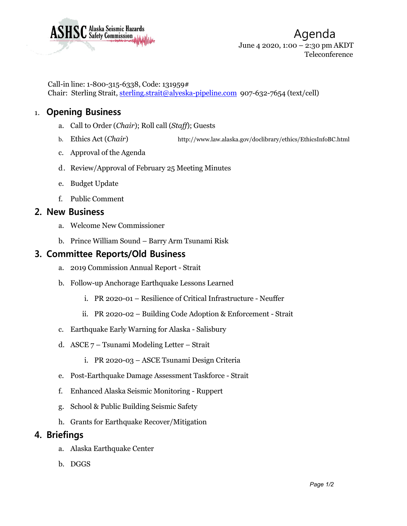

Call-in line: 1-800-315-6338, Code: 131959# Chair: Sterling Strait, [sterling.strait@alyeska-pipeline.com](mailto:sterling.strait@alyeska-pipeline.com) 907-632-7654 (text/cell)

# 1. **Opening Business**

- a. Call to Order (*Chair*); Roll call (*Staff*); Guests
- b. Ethics Act (*Chair*) <http://www.law.alaska.gov/doclibrary/ethics/EthicsInfoBC.html>
- c. Approval of the Agenda
- d. Review/Approval of February 25 Meeting Minutes
- e. Budget Update
- f. Public Comment

#### **2. New Business**

- a. Welcome New Commissioner
- b. Prince William Sound Barry Arm Tsunami Risk

## **3. Committee Reports/Old Business**

- a. 2019 Commission Annual Report Strait
- b. Follow-up Anchorage Earthquake Lessons Learned
	- i. PR 2020-01 Resilience of Critical Infrastructure Neuffer
	- ii. PR 2020-02 Building Code Adoption & Enforcement Strait
- c. Earthquake Early Warning for Alaska Salisbury
- d. ASCE 7 Tsunami Modeling Letter Strait
	- i. PR 2020-03 ASCE Tsunami Design Criteria
- e. Post-Earthquake Damage Assessment Taskforce Strait
- f. Enhanced Alaska Seismic Monitoring Ruppert
- g. School & Public Building Seismic Safety
- h. Grants for Earthquake Recover/Mitigation

### **4. Briefings**

- a. Alaska Earthquake Center
- b. DGGS